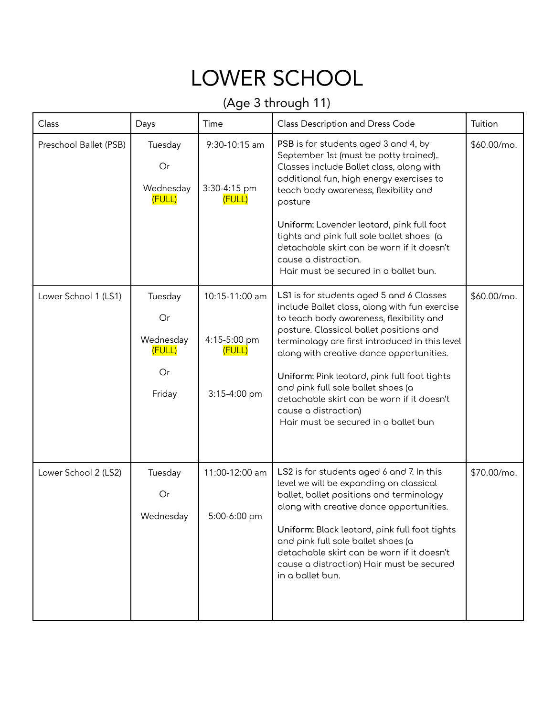## LOWER SCHOOL

## (Age 3 through 11)

| Class                  | Days                                                 | Time                                                     | Class Description and Dress Code                                                                                                                                                                                                                                                                                                                                                                                                                                                   | Tuition     |
|------------------------|------------------------------------------------------|----------------------------------------------------------|------------------------------------------------------------------------------------------------------------------------------------------------------------------------------------------------------------------------------------------------------------------------------------------------------------------------------------------------------------------------------------------------------------------------------------------------------------------------------------|-------------|
| Preschool Ballet (PSB) | Tuesday<br>Or<br>Wednesday<br>(FULL)                 | 9:30-10:15 am<br>3:30-4:15 pm<br>(FULL)                  | PSB is for students aged 3 and 4, by<br>September 1st (must be potty trained)<br>Classes include Ballet class, along with<br>additional fun, high energy exercises to<br>teach body awareness, flexibility and<br>posture<br>Uniform: Lavender leotard, pink full foot<br>tights and pink full sole ballet shoes (a<br>detachable skirt can be worn if it doesn't<br>cause a distraction.<br>Hair must be secured in a ballet bun.                                                 | \$60.00/mo. |
| Lower School 1 (LS1)   | Tuesday<br>Or<br>Wednesday<br>(FULL)<br>Or<br>Friday | 10:15-11:00 am<br>4:15-5:00 pm<br>(FULL)<br>3:15-4:00 pm | LS1 is for students aged 5 and 6 Classes<br>include Ballet class, along with fun exercise<br>to teach body awareness, flexibility and<br>posture. Classical ballet positions and<br>terminology are first introduced in this level<br>along with creative dance opportunities.<br>Uniform: Pink leotard, pink full foot tights<br>and pink full sole ballet shoes (a<br>detachable skirt can be worn if it doesn't<br>cause a distraction)<br>Hair must be secured in a ballet bun | \$60.00/mo. |
| Lower School 2 (LS2)   | Tuesday<br>Or<br>Wednesday                           | 11:00-12:00 am<br>5:00-6:00 pm                           | LS2 is for students aged 6 and 7. In this<br>level we will be expanding on classical<br>ballet, ballet positions and terminology<br>along with creative dance opportunities.<br>Uniform: Black leotard, pink full foot tights<br>and pink full sole ballet shoes (a<br>detachable skirt can be worn if it doesn't<br>cause a distraction) Hair must be secured<br>in a ballet bun.                                                                                                 | \$70.00/mo. |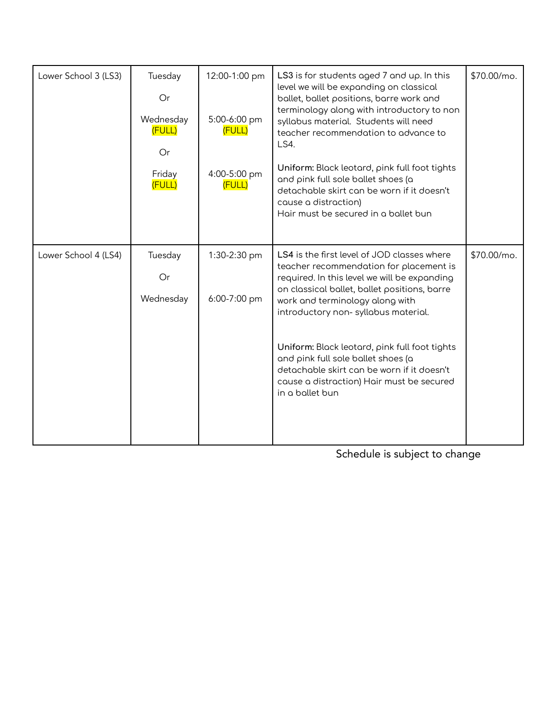| Lower School 3 (LS3) | Tuesday<br>Or<br>Wednesday<br>(FULL)<br>Or<br>Friday<br>(FULL) | 12:00-1:00 pm<br>5:00-6:00 pm<br>(FULL)<br>4:00-5:00 pm<br>(FULL) | LS3 is for students aged 7 and up. In this<br>level we will be expanding on classical<br>ballet, ballet positions, barre work and<br>terminology along with introductory to non<br>syllabus material. Students will need<br>teacher recommendation to advance to<br>LS4.<br>Uniform: Black leotard, pink full foot tights<br>and pink full sole ballet shoes (a<br>detachable skirt can be worn if it doesn't<br>cause a distraction)<br>Hair must be secured in a ballet bun | \$70.00/mo. |
|----------------------|----------------------------------------------------------------|-------------------------------------------------------------------|-------------------------------------------------------------------------------------------------------------------------------------------------------------------------------------------------------------------------------------------------------------------------------------------------------------------------------------------------------------------------------------------------------------------------------------------------------------------------------|-------------|
| Lower School 4 (LS4) | Tuesday<br>Or<br>Wednesday                                     | 1:30-2:30 pm<br>6:00-7:00 pm                                      | LS4 is the first level of JOD classes where<br>teacher recommendation for placement is<br>required. In this level we will be expanding<br>on classical ballet, ballet positions, barre<br>work and terminology along with<br>introductory non-syllabus material.<br>Uniform: Black leotard, pink full foot tights<br>and pink full sole ballet shoes (a<br>detachable skirt can be worn if it doesn't<br>cause a distraction) Hair must be secured<br>in a ballet bun         | \$70.00/mo. |

Schedule is subject to change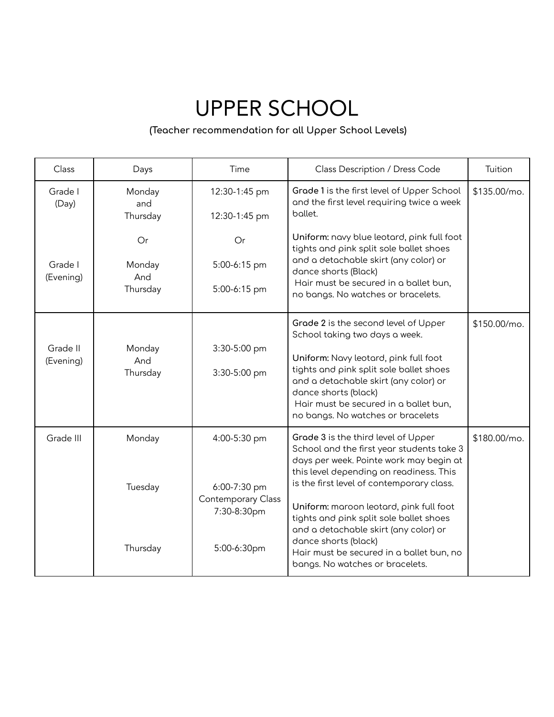## UPPER SCHOOL

## **(Teacher recommendation for all Upper School Levels)**

| Class                 | Days                            | Time                                                                             | Class Description / Dress Code                                                                                                                                                                                                                                                                                                                                                                                                                            | Tuition      |
|-----------------------|---------------------------------|----------------------------------------------------------------------------------|-----------------------------------------------------------------------------------------------------------------------------------------------------------------------------------------------------------------------------------------------------------------------------------------------------------------------------------------------------------------------------------------------------------------------------------------------------------|--------------|
| Grade I<br>(Day)      | Monday<br>and<br>Thursday       | 12:30-1:45 pm<br>12:30-1:45 pm                                                   | Grade 1 is the first level of Upper School<br>and the first level requiring twice a week<br>bollet.                                                                                                                                                                                                                                                                                                                                                       | \$135.00/mo. |
| Grade I<br>(Evening)  | Or<br>Monday<br>And<br>Thursday | Or<br>5:00-6:15 pm<br>5:00-6:15 pm                                               | Uniform: navy blue leotard, pink full foot<br>tights and pink split sole ballet shoes<br>and a detachable skirt (any color) or<br>dance shorts (Black)<br>Hair must be secured in a ballet bun,<br>no bangs. No watches or bracelets.                                                                                                                                                                                                                     |              |
| Grade II<br>(Evening) | Monday<br>And<br>Thursday       | 3:30-5:00 pm<br>3:30-5:00 pm                                                     | Grade 2 is the second level of Upper<br>School taking two days a week.<br>Uniform: Navy leotard, pink full foot<br>tights and pink split sole ballet shoes<br>and a detachable skirt (any color) or<br>dance shorts (black)<br>Hair must be secured in a ballet bun,<br>no bangs. No watches or bracelets                                                                                                                                                 | \$150.00/mo. |
| Grade III             | Monday<br>Tuesday<br>Thursday   | 4:00-5:30 pm<br>6:00-7:30 pm<br>Contemporary Class<br>7:30-8:30pm<br>5:00-6:30pm | Grade 3 is the third level of Upper<br>School and the first year students take 3<br>days per week. Pointe work may begin at<br>this level depending on readiness. This<br>is the first level of contemporary class.<br>Uniform: maroon leotard, pink full foot<br>tights and pink split sole ballet shoes<br>and a detachable skirt (any color) or<br>dance shorts (black)<br>Hair must be secured in a ballet bun, no<br>bangs. No watches or bracelets. | \$180.00/mo. |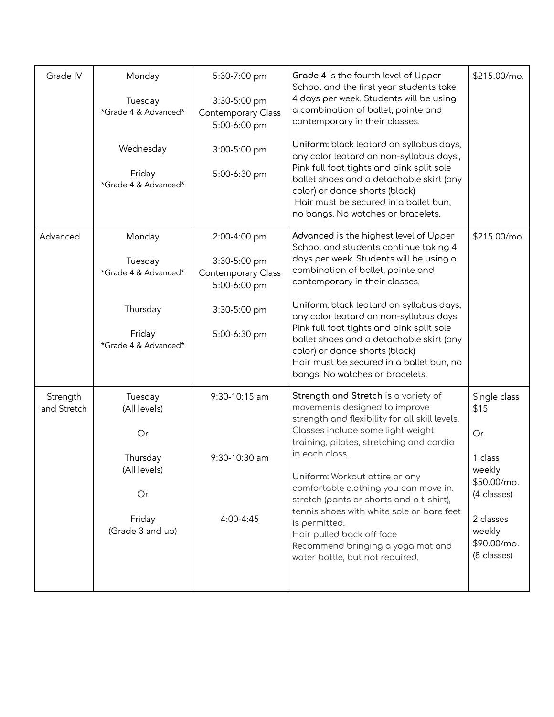| Grade IV                | Monday                                                                                        | 5:30-7:00 pm                                                              | Grade 4 is the fourth level of Upper                                                                                                                                                                                                                                                                                                                                                                                                                                                                                 | \$215.00/mo.                                                                                                                       |
|-------------------------|-----------------------------------------------------------------------------------------------|---------------------------------------------------------------------------|----------------------------------------------------------------------------------------------------------------------------------------------------------------------------------------------------------------------------------------------------------------------------------------------------------------------------------------------------------------------------------------------------------------------------------------------------------------------------------------------------------------------|------------------------------------------------------------------------------------------------------------------------------------|
|                         | Tuesday<br>*Grade 4 & Advanced*                                                               | 3:30-5:00 pm<br>Contemporary Class<br>5:00-6:00 pm                        | School and the first year students take<br>4 days per week. Students will be using<br>a combination of ballet, pointe and<br>contemporary in their classes.                                                                                                                                                                                                                                                                                                                                                          |                                                                                                                                    |
|                         | Wednesday<br>Friday<br>*Grade 4 & Advanced*                                                   | 3:00-5:00 pm<br>5:00-6:30 pm                                              | Uniform: black leotard on syllabus days,<br>any color leotard on non-syllabus days.,<br>Pink full foot tights and pink split sole<br>ballet shoes and a detachable skirt (any<br>color) or dance shorts (black)<br>Hair must be secured in a ballet bun,<br>no bangs. No watches or bracelets.                                                                                                                                                                                                                       |                                                                                                                                    |
| Advanced                | Monday<br>Tuesday<br>*Grade 4 & Advanced*                                                     | 2:00-4:00 pm<br>3:30-5:00 pm<br><b>Contemporary Class</b><br>5:00-6:00 pm | Advanced is the highest level of Upper<br>School and students continue taking 4<br>days per week. Students will be using a<br>combination of ballet, pointe and<br>contemporary in their classes.                                                                                                                                                                                                                                                                                                                    | \$215.00/mo.                                                                                                                       |
|                         | Thursday<br>Friday<br>*Grade 4 & Advanced*                                                    | 3:30-5:00 pm<br>5:00-6:30 pm                                              | Uniform: black leotard on syllabus days,<br>any color leotard on non-syllabus days.<br>Pink full foot tights and pink split sole<br>ballet shoes and a detachable skirt (any<br>color) or dance shorts (black)<br>Hair must be secured in a ballet bun, no<br>bangs. No watches or bracelets.                                                                                                                                                                                                                        |                                                                                                                                    |
| Strength<br>and Stretch | Tuesday<br>(All levels)<br>Or<br>Thursday<br>(All levels)<br>Or<br>Friday<br>(Grade 3 and up) | 9:30-10:15 am<br>9:30-10:30 am<br>4:00-4:45                               | Strength and Stretch is a variety of<br>movements designed to improve<br>strength and flexibility for all skill levels.<br>Classes include some light weight<br>training, pilates, stretching and cardio<br>in each class.<br>Uniform: Workout attire or any<br>comfortable clothing you can move in.<br>stretch (pants or shorts and a t-shirt),<br>tennis shoes with white sole or bare feet<br>is permitted.<br>Hair pulled back off face<br>Recommend bringing a yoga mat and<br>water bottle, but not required. | Single class<br>\$15<br>Or<br>1 class<br>weekly<br>\$50.00/mo.<br>(4 classes)<br>2 classes<br>weekly<br>\$90.00/mo.<br>(8 classes) |